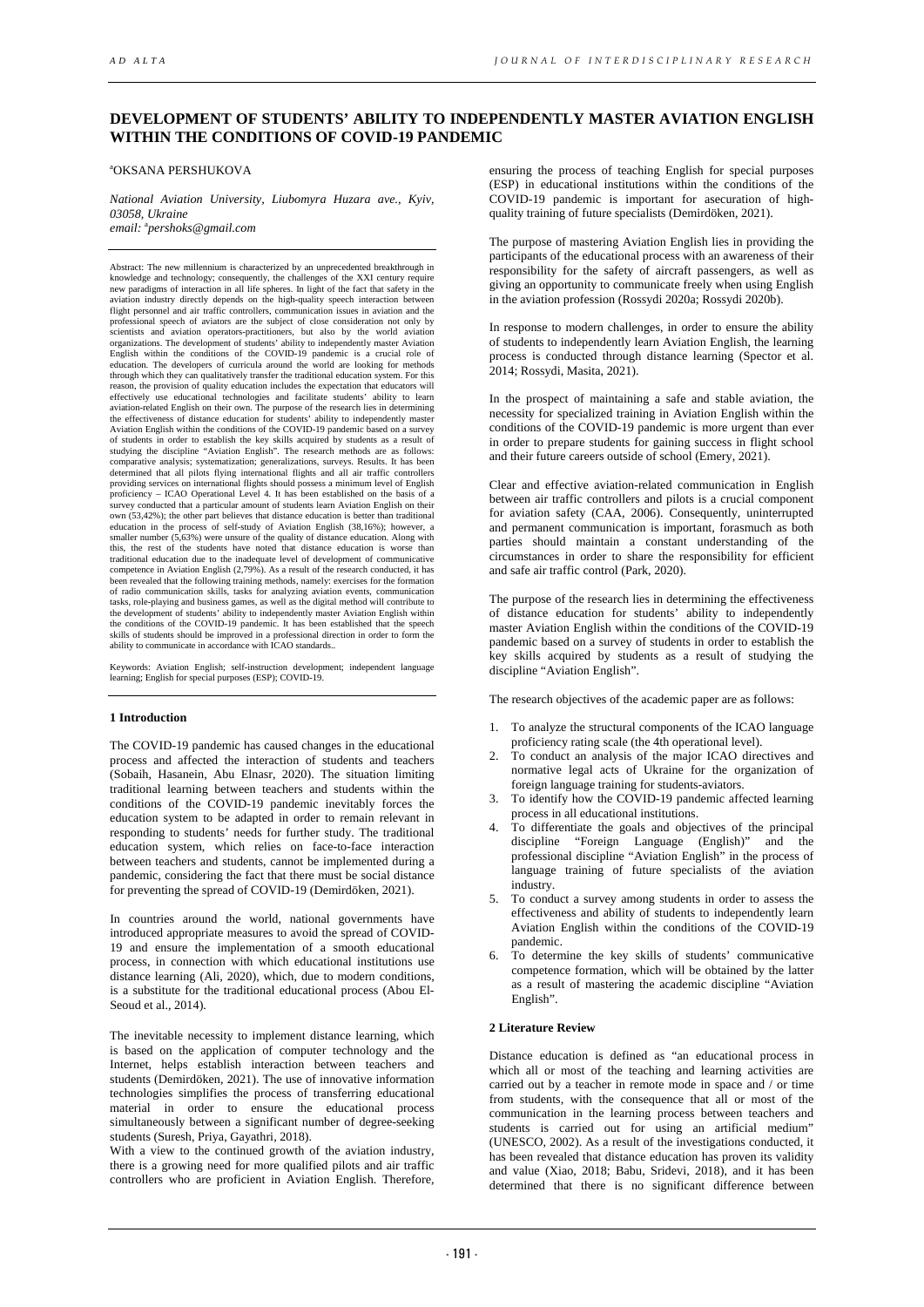# **DEVELOPMENT OF STUDENTS' ABILITY TO INDEPENDENTLY MASTER AVIATION ENGLISH WITHIN THE CONDITIONS OF COVID-19 PANDEMIC**

#### a OKSANA PERSHUKOVA

*National Aviation University, Liubomyra Huzara ave., Kyiv, 03058, Ukraine email:* <sup>a</sup> *pershoks@gmail.com* 

Abstract: The new millennium is characterized by an unprecedented breakthrough in knowledge and technology; consequently, the challenges of the XXI century require<br>new paradigms of interaction in all life spheres. In light of the fact that safety in the<br>aviation industry directly depends on the high-qua flight personnel and air traffic controllers, communication issues in aviation and the professional speech of aviators are the subject of close consideration not only by scientists and aviation operators-practitioners, but also by the world aviation organizations. The development of students' ability to independently master Aviation<br>English within the conditions of the COVID-19 pandemic is a crucial role of<br>education. The developers of curricula around the world are l reason, the provision of quality education includes the expectation that educators will<br>effectively use educational technologies and facilitate students' ability to learn<br>aviation-related English on their own. The purpose Aviation English within the conditions of the COVID-19 pandemic based on a survey<br>of students in order to establish the key skills acquired by students as a result of<br>studying the discipline "Aviation English". The researc comparative analysis; systematization; generalizations, surveys. Results. It has been determined that all pilots flying international flights and all air traffic controllers<br>providing services on international flights should possess a minimum level of English<br>proficiency – ICAO Operational Level 4. It has b survey conducted that a particular amount of students learn Aviation English on their own (53,42%); the other part believes that distance education is better than traditional education in the process of self-study of Aviation English (38,16%); however, a smaller number  $(5,63\%)$  were unsure of the quality of distance education. Along with this, the rest of the students have noted that distance education is worse than traditional education due to the inadequate level of de competence in Aviation English (2,79%). As a result of the research conducted, it has been revealed that the following training methods, namely: exercises for the formation<br>of radio communication skills, tasks for analyzing aviation events, communication<br>tasks, role-playing and business games, as well as th the development of students' ability to independently master Aviation English within the conditions of the COVID-19 pandemic. It has been established that the speech skills of students should be improved in a professional direction in order to form the ability to communicate in accordance with ICAO standards..

Keywords: Aviation English; self-instruction development; independent language learning; English for special purposes (ESP); COVID-19.

### **1 Introduction**

The COVID-19 pandemic has caused changes in the educational process and affected the interaction of students and teachers (Sobaih, Hasanein, Abu Elnasr, 2020). The situation limiting traditional learning between teachers and students within the conditions of the COVID-19 pandemic inevitably forces the education system to be adapted in order to remain relevant in responding to students' needs for further study. The traditional education system, which relies on face-to-face interaction between teachers and students, cannot be implemented during a pandemic, considering the fact that there must be social distance for preventing the spread of COVID-19 (Demirdöken, 2021).

In countries around the world, national governments have introduced appropriate measures to avoid the spread of COVID-19 and ensure the implementation of a smooth educational process, in connection with which educational institutions use distance learning (Ali, 2020), which, due to modern conditions, is a substitute for the traditional educational process (Abou El-Seoud et al., 2014).

The inevitable necessity to implement distance learning, which is based on the application of computer technology and the Internet, helps establish interaction between teachers and students (Demirdöken, 2021). The use of innovative information technologies simplifies the process of transferring educational material in order to ensure the educational process simultaneously between a significant number of degree-seeking students (Suresh, Priya, Gayathri, 2018).

With a view to the continued growth of the aviation industry, there is a growing need for more qualified pilots and air traffic controllers who are proficient in Aviation English. Therefore,

ensuring the process of teaching English for special purposes (ESP) in educational institutions within the conditions of the COVID-19 pandemic is important for asecuration of highquality training of future specialists (Demirdöken, 2021).

The purpose of mastering Aviation English lies in providing the participants of the educational process with an awareness of their responsibility for the safety of aircraft passengers, as well as giving an opportunity to communicate freely when using English in the aviation profession (Rossydi 2020a; Rossydi 2020b).

In response to modern challenges, in order to ensure the ability of students to independently learn Aviation English, the learning process is conducted through distance learning (Spector et al. 2014; Rossydi, Masita, 2021).

In the prospect of maintaining a safe and stable aviation, the necessity for specialized training in Aviation English within the conditions of the COVID-19 pandemic is more urgent than ever in order to prepare students for gaining success in flight school and their future careers outside of school (Emery, 2021).

Clear and effective aviation-related communication in English between air traffic controllers and pilots is a crucial component for aviation safety (CAA, 2006). Consequently, uninterrupted and permanent communication is important, forasmuch as both parties should maintain a constant understanding of the circumstances in order to share the responsibility for efficient and safe air traffic control (Park, 2020).

The purpose of the research lies in determining the effectiveness of distance education for students' ability to independently master Aviation English within the conditions of the COVID-19 pandemic based on a survey of students in order to establish the key skills acquired by students as a result of studying the discipline "Aviation English".

The research objectives of the academic paper are as follows:

- 1. To analyze the structural components of the ICAO language proficiency rating scale (the 4th operational level).
- 2. To conduct an analysis of the major ICAO directives and normative legal acts of Ukraine for the organization of foreign language training for students-aviators.
- 3. To identify how the COVID-19 pandemic affected learning process in all educational institutions.
- 4. To differentiate the goals and objectives of the principal discipline "Foreign Language (English)" and the professional discipline "Aviation English" in the process of language training of future specialists of the aviation industry.
- 5. To conduct a survey among students in order to assess the effectiveness and ability of students to independently learn Aviation English within the conditions of the COVID-19 pandemic.
- 6. To determine the key skills of students' communicative competence formation, which will be obtained by the latter as a result of mastering the academic discipline "Aviation English".

## **2 Literature Review**

Distance education is defined as "an educational process in which all or most of the teaching and learning activities are carried out by a teacher in remote mode in space and / or time from students, with the consequence that all or most of the communication in the learning process between teachers and students is carried out for using an artificial medium" (UNESCO, 2002). As a result of the investigations conducted, it has been revealed that distance education has proven its validity and value (Xiao, 2018; Babu, Sridevi, 2018), and it has been determined that there is no significant difference between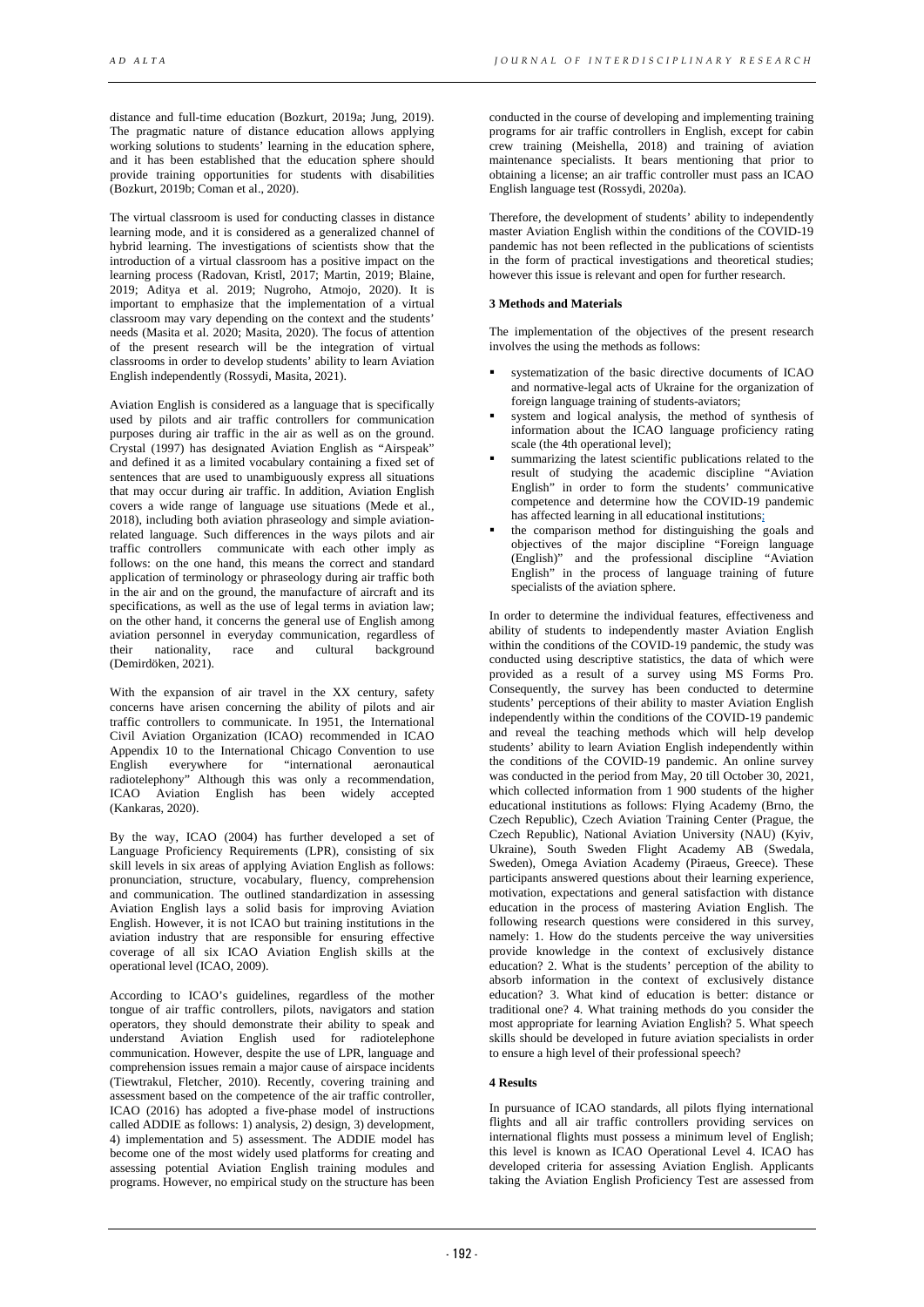distance and full-time education (Bozkurt, 2019a; Jung, 2019). The pragmatic nature of distance education allows applying working solutions to students' learning in the education sphere, and it has been established that the education sphere should provide training opportunities for students with disabilities (Bozkurt, 2019b; Coman et al., 2020).

The virtual classroom is used for conducting classes in distance learning mode, and it is considered as a generalized channel of hybrid learning. The investigations of scientists show that the introduction of a virtual classroom has a positive impact on the learning process (Radovan, Kristl, 2017; Martin, 2019; Blaine, 2019; Aditya et al. 2019; Nugroho, Atmojo, 2020). It is important to emphasize that the implementation of a virtual classroom may vary depending on the context and the students' needs (Masita et al. 2020; Masita, 2020). The focus of attention of the present research will be the integration of virtual classrooms in order to develop students' ability to learn Aviation English independently (Rossydi, Masita, 2021).

Aviation English is considered as a language that is specifically used by pilots and air traffic controllers for communication purposes during air traffic in the air as well as on the ground. Crystal (1997) has designated Aviation English as "Airspeak" and defined it as a limited vocabulary containing a fixed set of sentences that are used to unambiguously express all situations that may occur during air traffic. In addition, Aviation English covers a wide range of language use situations (Mede et al., 2018), including both aviation phraseology and simple aviationrelated language. Such differences in the ways pilots and air traffic controllers communicate with each other imply as follows: on the one hand, this means the correct and standard application of terminology or phraseology during air traffic both in the air and on the ground, the manufacture of aircraft and its specifications, as well as the use of legal terms in aviation law; on the other hand, it concerns the general use of English among aviation personnel in everyday communication, regardless of their nationality, race and cultural background (Demirdöken, 2021).

With the expansion of air travel in the XX century, safety concerns have arisen concerning the ability of pilots and air traffic controllers to communicate. In 1951, the International Civil Aviation Organization (ICAO) recommended in ICAO Appendix 10 to the International Chicago Convention to use English everywhere for "international aeronautical radiotelephony" Although this was only a recommendation, ICAO Aviation English has been widely accepted (Kankaras, 2020).

By the way, ICAO (2004) has further developed a set of Language Proficiency Requirements (LPR), consisting of six skill levels in six areas of applying Aviation English as follows: pronunciation, structure, vocabulary, fluency, comprehension and communication. The outlined standardization in assessing Aviation English lays a solid basis for improving Aviation English. However, it is not ICAO but training institutions in the aviation industry that are responsible for ensuring effective coverage of all six ICAO Aviation English skills at the operational level (ICAO, 2009).

According to ICAO's guidelines, regardless of the mother tongue of air traffic controllers, pilots, navigators and station operators, they should demonstrate their ability to speak and understand Aviation English used for radiotelephone communication. However, despite the use of LPR, language and comprehension issues remain a major cause of airspace incidents (Tiewtrakul, Fletcher, 2010). Recently, covering training and assessment based on the competence of the air traffic controller, ICAO (2016) has adopted a five-phase model of instructions called ADDIE as follows: 1) analysis, 2) design, 3) development, 4) implementation and 5) assessment. The ADDIE model has become one of the most widely used platforms for creating and assessing potential Aviation English training modules and programs. However, no empirical study on the structure has been

conducted in the course of developing and implementing training programs for air traffic controllers in English, except for cabin crew training (Meishella, 2018) and training of aviation maintenance specialists. It bears mentioning that prior to obtaining a license; an air traffic controller must pass an ICAO English language test (Rossydi, 2020a).

Therefore, the development of students' ability to independently master Aviation English within the conditions of the COVID-19 pandemic has not been reflected in the publications of scientists in the form of practical investigations and theoretical studies; however this issue is relevant and open for further research.

## **3 Methods and Materials**

The implementation of the objectives of the present research involves the using the methods as follows:

- systematization of the basic directive documents of ICAO and normative-legal acts of Ukraine for the organization of foreign language training of students-aviators;
- system and logical analysis, the method of synthesis of information about the ICAO language proficiency rating scale (the 4th operational level);
- summarizing the latest scientific publications related to the result of studying the academic discipline "Aviation English" in order to form the students' communicative competence and determine how the COVID-19 pandemic has affected learning in all educational institutions;
- the comparison method for distinguishing the goals and objectives of the major discipline "Foreign language (English)" and the professional discipline "Aviation English" in the process of language training of future specialists of the aviation sphere.

In order to determine the individual features, effectiveness and ability of students to independently master Aviation English within the conditions of the COVID-19 pandemic, the study was conducted using descriptive statistics, the data of which were provided as a result of a survey using MS Forms Pro. Consequently, the survey has been conducted to determine students' perceptions of their ability to master Aviation English independently within the conditions of the COVID-19 pandemic and reveal the teaching methods which will help develop students' ability to learn Aviation English independently within the conditions of the COVID-19 pandemic. An online survey was conducted in the period from May, 20 till October 30, 2021. which collected information from 1 900 students of the higher educational institutions as follows: Flying Academy (Brno, the Czech Republic), Czech Aviation Training Center (Prague, the Czech Republic), National Aviation University (NAU) (Kyiv, Ukraine), South Sweden Flight Academy AB (Swedala, Sweden), Omega Aviation Academy (Piraeus, Greece). These participants answered questions about their learning experience, motivation, expectations and general satisfaction with distance education in the process of mastering Aviation English. The following research questions were considered in this survey, namely: 1. How do the students perceive the way universities provide knowledge in the context of exclusively distance education? 2. What is the students' perception of the ability to absorb information in the context of exclusively distance education? 3. What kind of education is better: distance or traditional one? 4. What training methods do you consider the most appropriate for learning Aviation English? 5. What speech skills should be developed in future aviation specialists in order to ensure a high level of their professional speech?

### **4 Results**

In pursuance of ICAO standards, all pilots flying international flights and all air traffic controllers providing services on international flights must possess a minimum level of English; this level is known as ICAO Operational Level 4. ICAO has developed criteria for assessing Aviation English. Applicants taking the Aviation English Proficiency Test are assessed from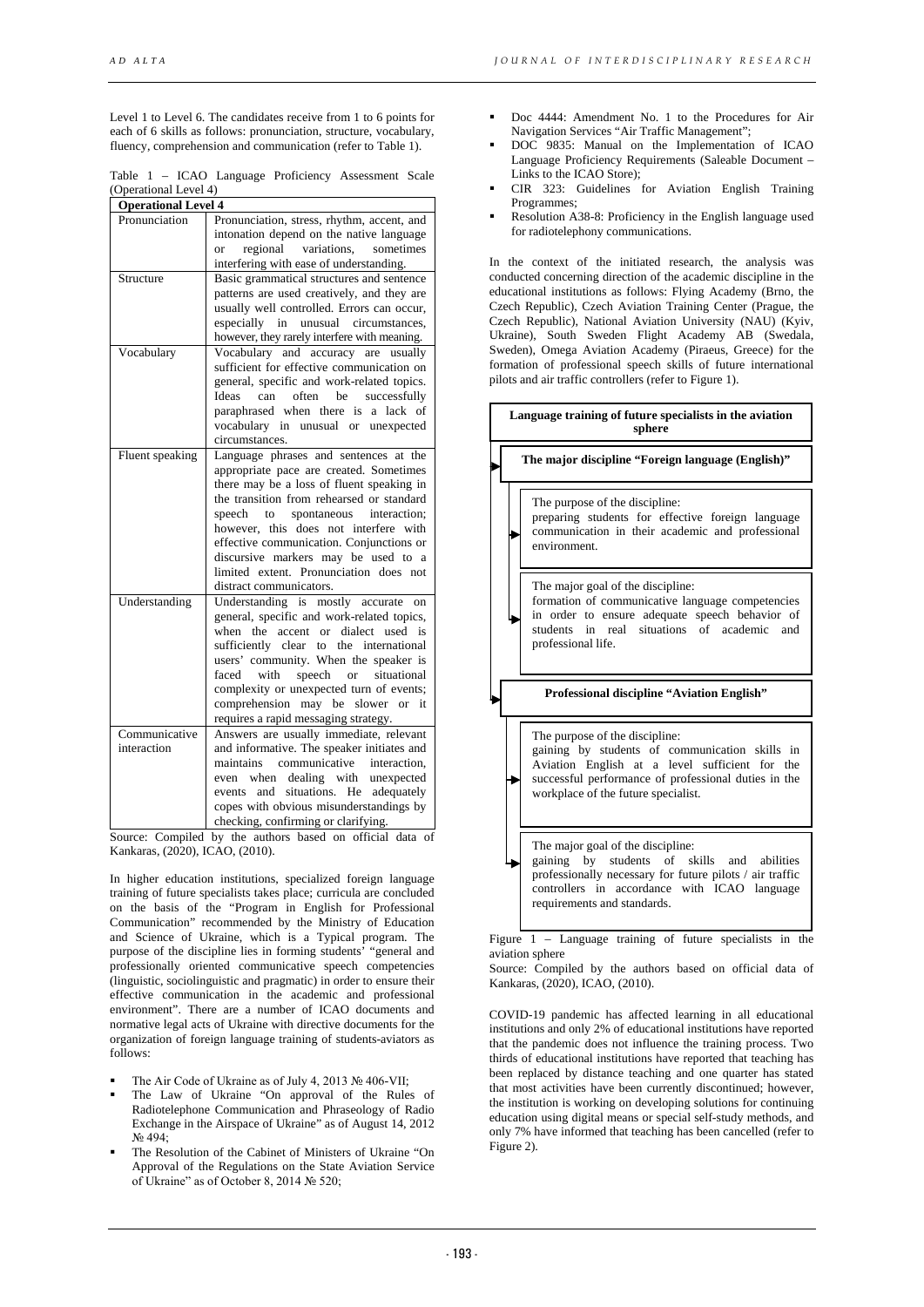Level 1 to Level 6. The candidates receive from 1 to 6 points for each of 6 skills as follows: pronunciation, structure, vocabulary, fluency, comprehension and communication (refer to Table 1).

Table 1 – ICAO Language Proficiency Assessment Scale (Operational Level 4)

| <b>Operational Level 4</b> |                                                                                     |
|----------------------------|-------------------------------------------------------------------------------------|
| Pronunciation              | Pronunciation, stress, rhythm, accent, and                                          |
|                            | intonation depend on the native language                                            |
|                            | regional variations,<br>sometimes<br><b>or</b>                                      |
|                            | interfering with ease of understanding.                                             |
| Structure                  | Basic grammatical structures and sentence                                           |
|                            | patterns are used creatively, and they are                                          |
|                            | usually well controlled. Errors can occur,                                          |
|                            | especially<br>in<br>unusual circumstances,                                          |
|                            | however, they rarely interfere with meaning.                                        |
| Vocabulary                 | Vocabulary and accuracy are<br>usually                                              |
|                            | sufficient for effective communication on                                           |
|                            | general, specific and work-related topics.                                          |
|                            | Ideas<br>can<br>often be<br>successfully                                            |
|                            | paraphrased when there<br>a lack of<br>is                                           |
|                            | vocabulary in unusual or unexpected                                                 |
|                            | circumstances.                                                                      |
| Fluent speaking            | Language phrases and sentences at the                                               |
|                            | appropriate pace are created. Sometimes                                             |
|                            | there may be a loss of fluent speaking in                                           |
|                            | the transition from rehearsed or standard                                           |
|                            | spontaneous<br>interaction;<br>speech<br>to                                         |
|                            | however, this does not interfere with                                               |
|                            | effective communication. Conjunctions or                                            |
|                            | discursive markers may be used to a<br>limited extent. Pronunciation does not       |
|                            | distract communicators.                                                             |
|                            |                                                                                     |
| Understanding              | Understanding is mostly accurate on                                                 |
|                            | general, specific and work-related topics,<br>accent<br>dialect used is<br>$\alpha$ |
|                            | when the<br>the international<br>sufficiently clear                                 |
|                            | to<br>users' community. When the speaker is                                         |
|                            | with<br>speech<br>situational<br>faced<br>$\alpha$                                  |
|                            | complexity or unexpected turn of events;                                            |
|                            | comprehension may be slower or it                                                   |
|                            | requires a rapid messaging strategy.                                                |
| Communicative              | Answers are usually immediate, relevant                                             |
| interaction                | and informative. The speaker initiates and                                          |
|                            | maintains communicative interaction,                                                |
|                            | even when dealing with unexpected                                                   |
|                            | situations.<br>He adequately<br>and<br>events                                       |
|                            | copes with obvious misunderstandings by                                             |
|                            | checking, confirming or clarifying.                                                 |

Source: Compiled by the authors based on official data of Kankaras, (2020), ICAO, (2010).

In higher education institutions, specialized foreign language training of future specialists takes place; curricula are concluded on the basis of the "Program in English for Professional Communication" recommended by the Ministry of Education and Science of Ukraine, which is a Typical program. The purpose of the discipline lies in forming students' "general and professionally oriented communicative speech competencies (linguistic, sociolinguistic and pragmatic) in order to ensure their effective communication in the academic and professional environment". There are a number of ICAO documents and normative legal acts of Ukraine with directive documents for the organization of foreign language training of students-aviators as follows:

- The Air Code of Ukraine as of July 4, 2013 № 406-VII;
- The Law of Ukraine "On approval of the Rules of Radiotelephone Communication and Phraseology of Radio Exchange in the Airspace of Ukraine" as of August 14, 2012 No 494.
- The Resolution of the Cabinet of Ministers of Ukraine "On Approval of the Regulations on the State Aviation Service of Ukraine" as of October 8, 2014 № 520;
- Doc 4444: Amendment No. 1 to the Procedures for Air Navigation Services "Air Traffic Management";
- DOC 9835: Manual on the Implementation of ICAO Language Proficiency Requirements (Saleable Document – Links to the ICAO Store);
- CIR 323: Guidelines for Aviation English Training Programmes;
- Resolution A38-8: Proficiency in the English language used for radiotelephony communications.

In the context of the initiated research, the analysis was conducted concerning direction of the academic discipline in the educational institutions as follows: Flying Academy (Brno, the Czech Republic), Czech Aviation Training Center (Prague, the Czech Republic), National Aviation University (NAU) (Kyiv, Ukraine), South Sweden Flight Academy AB (Swedala, Sweden), Omega Aviation Academy (Piraeus, Greece) for the formation of professional speech skills of future international pilots and air traffic controllers (refer to Figure 1).

**The major discipline "Foreign language (English)"** The purpose of the discipline: preparing students for effective foreign language communication in their academic and professional environment. The major goal of the discipline: formation of communicative language competencies in order to ensure adequate speech behavior of students in real situations of academic and professional life. **Language training of future specialists in the aviation sphere Professional discipline "Aviation English"** The purpose of the discipline: gaining by students of communication skills in Aviation English at a level sufficient for the successful performance of professional duties in the workplace of the future specialist. The major goal of the discipline: gaining by students of skills and abilities professionally necessary for future pilots / air traffic controllers in accordance with ICAO language requirements and standards.

Figure 1 – Language training of future specialists in the aviation sphere

Source: Compiled by the authors based on official data of Kankaras, (2020), ICAO, (2010).

COVID-19 pandemic has affected learning in all educational institutions and only 2% of educational institutions have reported that the pandemic does not influence the training process. Two thirds of educational institutions have reported that teaching has been replaced by distance teaching and one quarter has stated that most activities have been currently discontinued; however, the institution is working on developing solutions for continuing education using digital means or special self-study methods, and only 7% have informed that teaching has been cancelled (refer to Figure 2).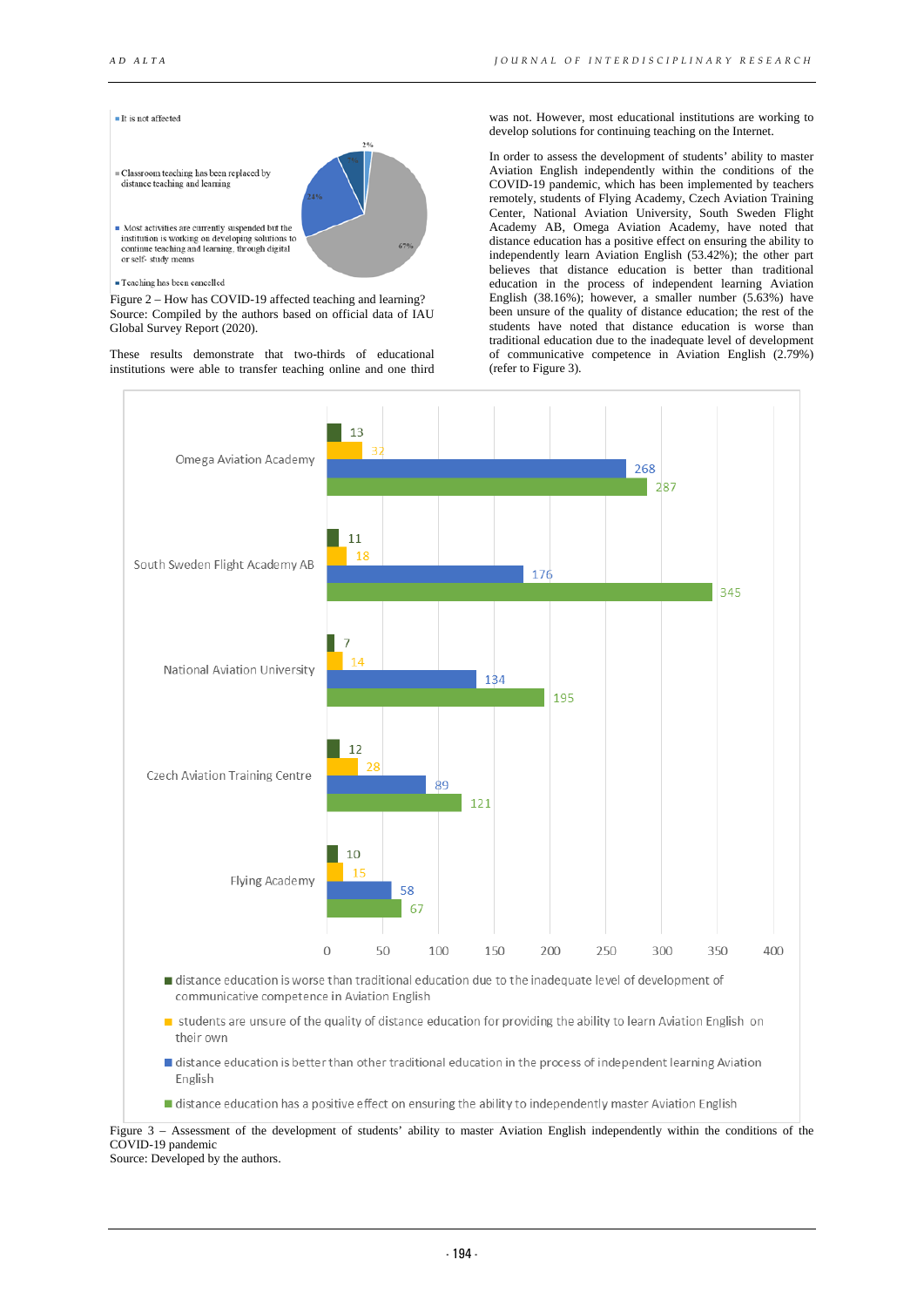

#### · Teaching has been cancelled

Figure 2 – How has COVID-19 affected teaching and learning? Source: Compiled by the authors based on official data of IAU Global Survey Report (2020).

These results demonstrate that two-thirds of educational institutions were able to transfer teaching online and one third

was not. However, most educational institutions are working to develop solutions for continuing teaching on the Internet.

In order to assess the development of students' ability to master Aviation English independently within the conditions of the COVID-19 pandemic, which has been implemented by teachers remotely, students of Flying Academy, Czech Aviation Training Center, National Aviation University, South Sweden Flight Academy AB, Omega Aviation Academy, have noted that distance education has a positive effect on ensuring the ability to independently learn Aviation English (53.42%); the other part believes that distance education is better than traditional education in the process of independent learning Aviation English (38.16%); however, a smaller number (5.63%) have been unsure of the quality of distance education; the rest of the students have noted that distance education is worse than traditional education due to the inadequate level of development of communicative competence in Aviation English (2.79%) (refer to Figure 3).



- distance education is better than other traditional education in the process of independent learning Aviation English
- distance education has a positive effect on ensuring the ability to independently master Aviation English

Figure 3 – Assessment of the development of students' ability to master Aviation English independently within the conditions of the COVID-19 pandemic

Source: Developed by the authors.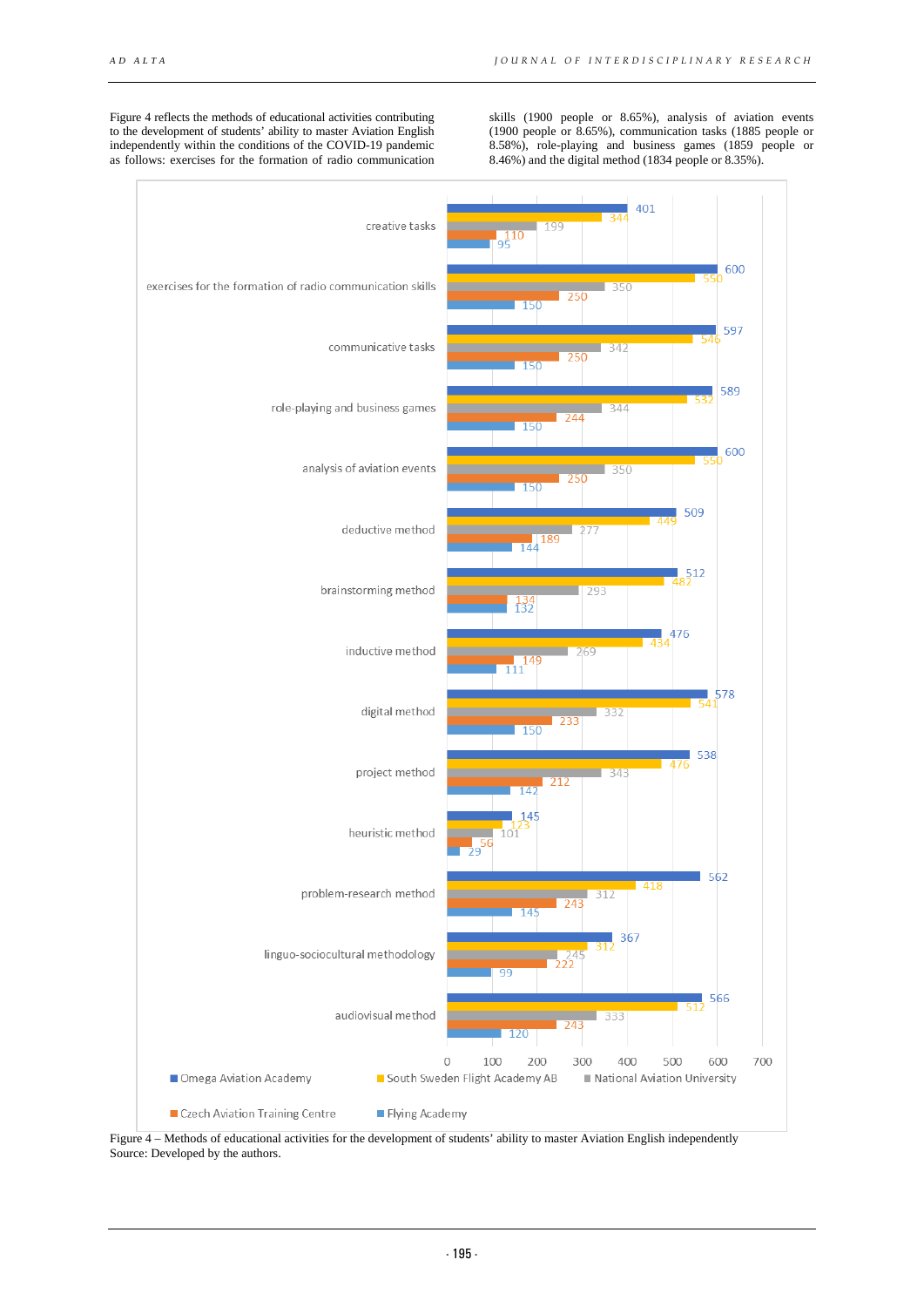Figure 4 reflects the methods of educational activities contributing to the development of students' ability to master Aviation English independently within the conditions of the COVID-19 pandemic as follows: exercises for the formation of radio communication

skills (1900 people or 8.65%), analysis of aviation events (1900 people or 8.65%), communication tasks (1885 people or 8.58%), role-playing and business games (1859 people or 8.46%) and the digital method (1834 people or 8.35%).

![](_page_4_Figure_4.jpeg)

Figure 4 – Methods of educational activities for the development of students' ability to master Aviation English independently Source: Developed by the authors.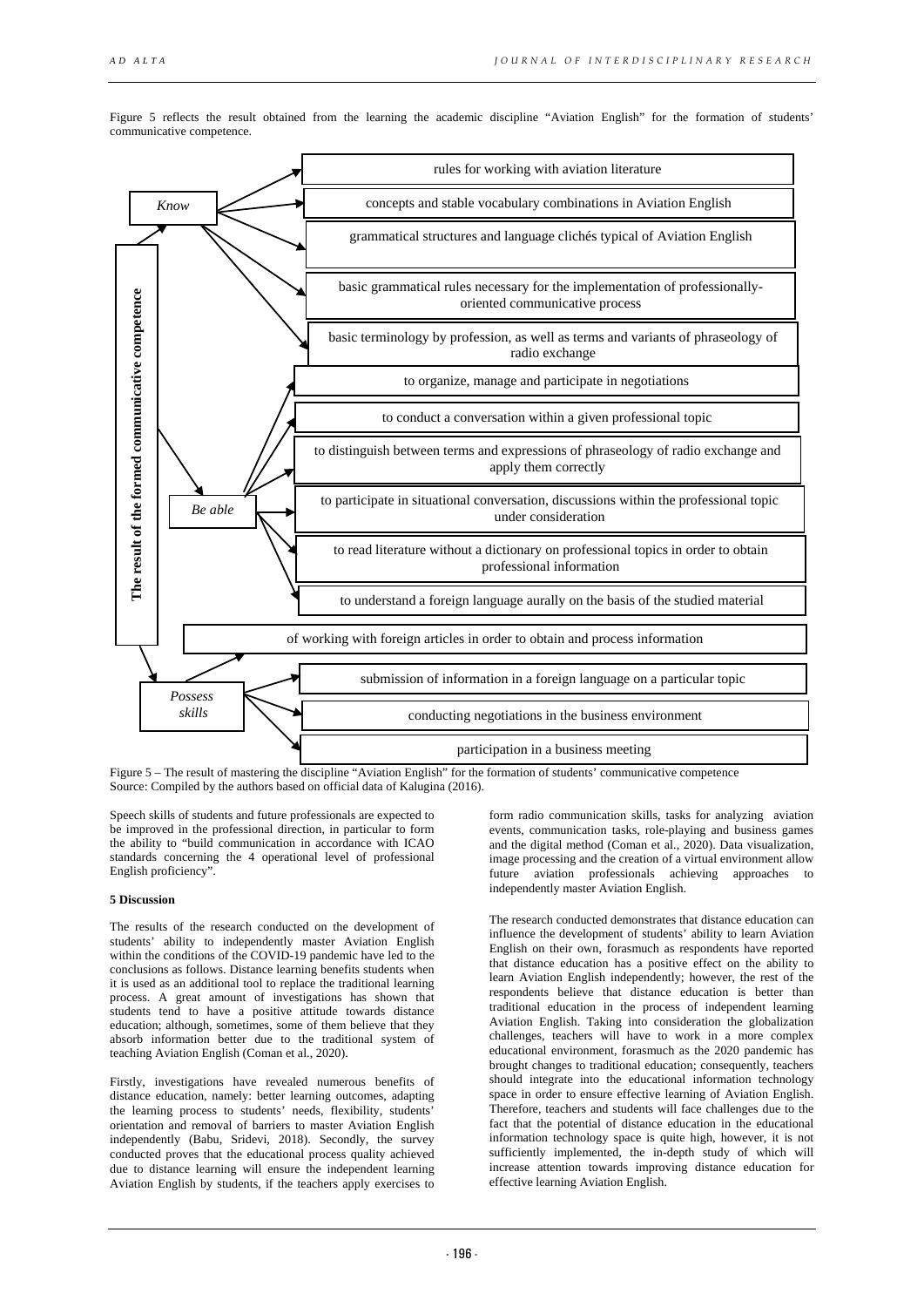![](_page_5_Figure_2.jpeg)

Figure 5 reflects the result obtained from the learning the academic discipline "Aviation English" for the formation of students' communicative competence.

Figure 5 – The result of mastering the discipline "Aviation English" for the formation of students' communicative competence Source: Compiled by the authors based on official data of Kalugina (2016).

Speech skills of students and future professionals are expected to be improved in the professional direction, in particular to form the ability to "build communication in accordance with ICAO standards concerning the 4 operational level of professional English proficiency".

## **5 Discussion**

The results of the research conducted on the development of students' ability to independently master Aviation English within the conditions of the COVID-19 pandemic have led to the conclusions as follows. Distance learning benefits students when it is used as an additional tool to replace the traditional learning process. A great amount of investigations has shown that students tend to have a positive attitude towards distance education; although, sometimes, some of them believe that they absorb information better due to the traditional system of teaching Aviation English (Coman et al., 2020).

Firstly, investigations have revealed numerous benefits of distance education, namely: better learning outcomes, adapting the learning process to students' needs, flexibility, students' orientation and removal of barriers to master Aviation English independently (Babu, Sridevi, 2018). Secondly, the survey conducted proves that the educational process quality achieved due to distance learning will ensure the independent learning Aviation English by students, if the teachers apply exercises to

form radio communication skills, tasks for analyzing aviation events, communication tasks, role-playing and business games and the digital method (Coman et al., 2020). Data visualization, image processing and the creation of a virtual environment allow future aviation professionals achieving approaches to independently master Aviation English.

The research conducted demonstrates that distance education can influence the development of students' ability to learn Aviation English on their own, forasmuch as respondents have reported that distance education has a positive effect on the ability to learn Aviation English independently; however, the rest of the respondents believe that distance education is better than traditional education in the process of independent learning Aviation English. Taking into consideration the globalization challenges, teachers will have to work in a more complex educational environment, forasmuch as the 2020 pandemic has brought changes to traditional education; consequently, teachers should integrate into the educational information technology space in order to ensure effective learning of Aviation English. Therefore, teachers and students will face challenges due to the fact that the potential of distance education in the educational information technology space is quite high, however, it is not sufficiently implemented, the in-depth study of which will increase attention towards improving distance education for effective learning Aviation English.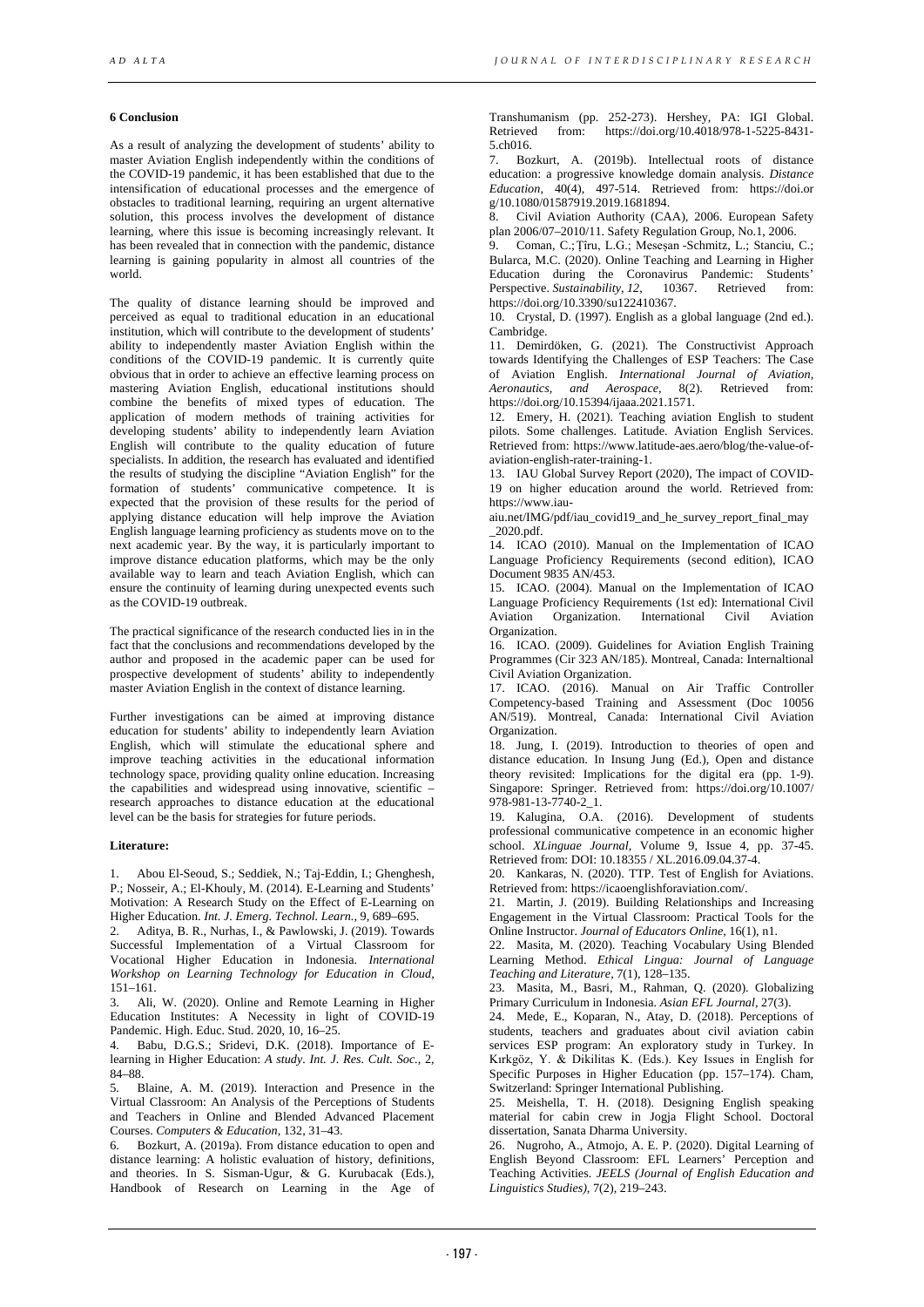### **6 Conclusion**

As a result of analyzing the development of students' ability to master Aviation English independently within the conditions of the COVID-19 pandemic, it has been established that due to the intensification of educational processes and the emergence of obstacles to traditional learning, requiring an urgent alternative solution, this process involves the development of distance learning, where this issue is becoming increasingly relevant. It has been revealed that in connection with the pandemic, distance learning is gaining popularity in almost all countries of the world.

The quality of distance learning should be improved and perceived as equal to traditional education in an educational institution, which will contribute to the development of students' ability to independently master Aviation English within the conditions of the COVID-19 pandemic. It is currently quite obvious that in order to achieve an effective learning process on mastering Aviation English, educational institutions should combine the benefits of mixed types of education. The application of modern methods of training activities for developing students' ability to independently learn Aviation English will contribute to the quality education of future specialists. In addition, the research has evaluated and identified the results of studying the discipline "Aviation English" for the formation of students' communicative competence. It is expected that the provision of these results for the period of applying distance education will help improve the Aviation English language learning proficiency as students move on to the next academic year. By the way, it is particularly important to improve distance education platforms, which may be the only available way to learn and teach Aviation English, which can ensure the continuity of learning during unexpected events such as the COVID-19 outbreak.

The practical significance of the research conducted lies in in the fact that the conclusions and recommendations developed by the author and proposed in the academic paper can be used for prospective development of students' ability to independently master Aviation English in the context of distance learning.

Further investigations can be aimed at improving distance education for students' ability to independently learn Aviation English, which will stimulate the educational sphere and improve teaching activities in the educational information technology space, providing quality online education. Increasing the capabilities and widespread using innovative, scientific – research approaches to distance education at the educational level can be the basis for strategies for future periods.

#### **Literature:**

1. Abou El-Seoud, S.; Seddiek, N.; Taj-Eddin, I.; Ghenghesh, P.; Nosseir, A.; El-Khouly, M. (2014). E-Learning and Students' Motivation: A Research Study on the Effect of E-Learning on Higher Education. *Int. J. Emerg. Technol. Learn.*, 9, 689–695.

2. Aditya, B. R., Nurhas, I., & Pawlowski, J. (2019). Towards Successful Implementation of a Virtual Classroom for Vocational Higher Education in Indonesia. *International Workshop on Learning Technology for Education in Cloud,* 151–161.

3. Ali, W. (2020). Online and Remote Learning in Higher Education Institutes: A Necessity in light of COVID-19 Pandemic. High. Educ. Stud. 2020, 10, 16–25.

4. Babu, D.G.S.; Sridevi, D.K. (2018). Importance of Elearning in Higher Education: *A study. Int. J. Res. Cult. Soc.,* 2, 84–88.

5. Blaine, A. M. (2019). Interaction and Presence in the Virtual Classroom: An Analysis of the Perceptions of Students and Teachers in Online and Blended Advanced Placement Courses. *Computers & Education,* 132, 31–43.

6. Bozkurt, A. (2019a). From distance education to open and distance learning: A holistic evaluation of history, definitions, and theories. In S. Sisman-Ugur, & G. Kurubacak (Eds.), Handbook of Research on Learning in the Age of Transhumanism (pp. 252-273). Hershey, PA: IGI Global. from: https://doi.org/10.4018/978-1-5225-8431-5.ch016.

7. Bozkurt, A. (2019b). Intellectual roots of distance education: a progressive knowledge domain analysis. *Distance Education,* 40(4), 497-514. Retrieved from: https://doi.or g/10.1080/01587919.2019.1681894.

8. Civil Aviation Authority (CAA), 2006. European Safety plan 2006/07–2010/11. Safety Regulation Group, No.1, 2006.

9. Coman, C.; Țîru, L.G.; Meseșan -Schmitz, L.; Stanciu, C.; Bularca, M.C. (2020). Online Teaching and Learning in Higher Education during the Coronavirus Pandemic: Students'<br>Perspective Sustainability 12. 10367. Retrieved from: Perspective. *Sustainability*, *12* Retrieved https://doi.org/10.3390/su122410367.

10. Crystal, D. (1997). English as a global language (2nd ed.). Cambridge.

11. Demirdöken, G. (2021). The Constructivist Approach towards Identifying the Challenges of ESP Teachers: The Case of Aviation English. *International Journal of Aviation, Aeronautics, and Aerospace,* 8(2). Retrieved from: [https://doi.org/10.15394/ijaaa.2021.1571.](https://doi.org/10.15394/ijaaa.2021.1571)

12. Emery, H. (2021). Teaching aviation English to student pilots. Some challenges. Latitude. Aviation English Services. Retrieved from: [https://www.latitude-aes.aero/blog/the-value-of](https://www.latitude-aes.aero/blog/the-value-of-aviation-english-rater-training-1)[aviation-english-rater-training-1.](https://www.latitude-aes.aero/blog/the-value-of-aviation-english-rater-training-1) 

13. IAU Global Survey Report (2020), The impact of COVID-19 on higher education around the world. Retrieved from: https://www.iau-

aiu.net/IMG/pdf/iau\_covid19\_and\_he\_survey\_report\_final\_may \_2020.pdf.

14. ICAO (2010). Manual on the Implementation of ICAO Language Proficiency Requirements (second edition), ICAO Document 9835 AN/453.

15. ICAO. (2004). Manual on the Implementation of ICAO Language Proficiency Requirements (1st ed): International Civil Aviation Organization. International Civil Aviation Organization.

16. ICAO. (2009). Guidelines for Aviation English Training Programmes (Cir 323 AN/185). Montreal, Canada: Internaltional Civil Aviation Organization.

17. ICAO. (2016). Manual on Air Traffic Controller Competency-based Training and Assessment (Doc 10056 AN/519). Montreal, Canada: International Civil Aviation Organization.

18. Jung, I. (2019). Introduction to theories of open and distance education. In Insung Jung (Ed.), Open and distance theory revisited: Implications for the digital era (pp. 1-9). Singapore: Springer. Retrieved from: https://doi.org/10.1007/ 978-981-13-7740-2\_1.

19. Kalugina, O.A. (2016). Development of students professional communicative competence in an economic higher school. *XLinguae Journal,* Volume 9, Issue 4, pp. 37-45. Retrieved from: DOI: 10.18355 / XL.2016.09.04.37-4.

20. Kankaras, N. (2020). TTP. Test of English for Aviations. Retrieved from: https://icaoenglishforaviation.com/.

21. Martin, J. (2019). Building Relationships and Increasing Engagement in the Virtual Classroom: Practical Tools for the Online Instructor. *Journal of Educators Online,* 16(1), n1.

22. Masita, M. (2020). Teaching Vocabulary Using Blended Learning Method. *Ethical Lingua: Journal of Language Teaching and Literature,* 7(1), 128–135.

23. Masita, M., Basri, M., Rahman, Q. (2020). Globalizing Primary Curriculum in Indonesia. *Asian EFL Journal,* 27(3).

24. Mede, E., Koparan, N., Atay, D. (2018). Perceptions of students, teachers and graduates about civil aviation cabin services ESP program: An exploratory study in Turkey. In Kırkgöz, Y. & Dikilitas K. (Eds.). Key Issues in English for Specific Purposes in Higher Education (pp. 157–174). Cham, Switzerland: Springer International Publishing.

25. Meishella, T. H. (2018). Designing English speaking material for cabin crew in Jogja Flight School. Doctoral dissertation, Sanata Dharma University.

26. Nugroho, A., Atmojo, A. E. P. (2020). Digital Learning of English Beyond Classroom: EFL Learners' Perception and Teaching Activities. *JEELS (Journal of English Education and Linguistics Studies),* 7(2), 219–243.